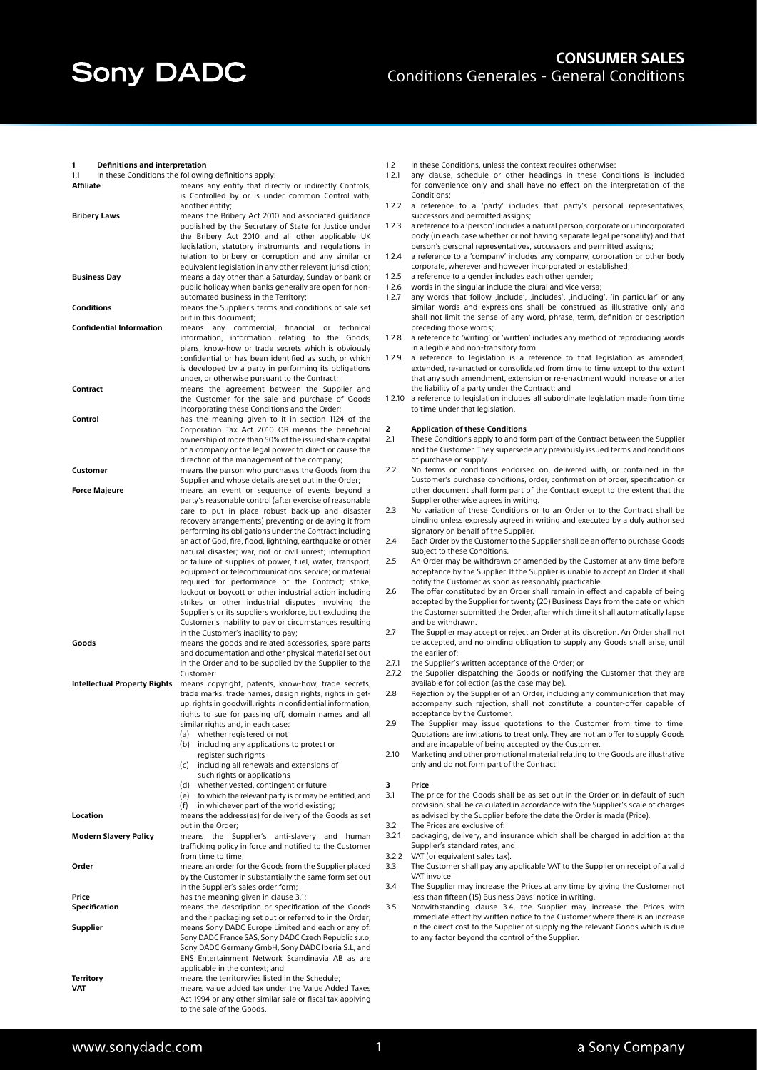#### **1 Definitions and interpretation**

| 1.1                             | In these Conditions the following definitions apply:                                                               |  |
|---------------------------------|--------------------------------------------------------------------------------------------------------------------|--|
| <b>Affiliate</b>                | means any entity that directly or indirectly Controls,                                                             |  |
|                                 | is Controlled by or is under common Control with,                                                                  |  |
|                                 | another entity:                                                                                                    |  |
| Bribery Laws                    | means the Bribery Act 2010 and associated guidance                                                                 |  |
|                                 | published by the Secretary of State for Justice under<br>the Bribery Act 2010 and all other applicable UK          |  |
|                                 | legislation, statutory instruments and regulations in                                                              |  |
|                                 | relation to bribery or corruption and any similar or                                                               |  |
|                                 | equivalent legislation in any other relevant jurisdiction;                                                         |  |
| <b>Business Day</b>             | means a day other than a Saturday, Sunday or bank or                                                               |  |
|                                 | public holiday when banks generally are open for non-                                                              |  |
|                                 | automated business in the Territory;                                                                               |  |
| <b>Conditions</b>               | means the Supplier's terms and conditions of sale set                                                              |  |
|                                 | out in this document;                                                                                              |  |
| <b>Confidential Information</b> | means<br>anv<br>commercial,<br>financial<br>or<br>technical                                                        |  |
|                                 | information, information relating to the Goods,                                                                    |  |
|                                 | plans, know-how or trade secrets which is obviously                                                                |  |
|                                 | confidential or has been identified as such, or which                                                              |  |
|                                 | is developed by a party in performing its obligations                                                              |  |
|                                 | under, or otherwise pursuant to the Contract;                                                                      |  |
| Contract                        | means the agreement between the Supplier and                                                                       |  |
|                                 | the Customer for the sale and purchase of Goods                                                                    |  |
| Control                         | incorporating these Conditions and the Order;<br>has the meaning given to it in section 1124 of the                |  |
|                                 | Corporation Tax Act 2010 OR means the beneficial                                                                   |  |
|                                 | ownership of more than 50% of the issued share capital                                                             |  |
|                                 | of a company or the legal power to direct or cause the                                                             |  |
|                                 | direction of the management of the company;                                                                        |  |
| Customer                        | means the person who purchases the Goods from the                                                                  |  |
|                                 | Supplier and whose details are set out in the Order;                                                               |  |
| Force Majeure                   | means an event or sequence of events beyond a                                                                      |  |
|                                 | party's reasonable control (after exercise of reasonable                                                           |  |
|                                 | care to put in place robust back-up and disaster                                                                   |  |
|                                 | recovery arrangements) preventing or delaying it from                                                              |  |
|                                 | performing its obligations under the Contract including                                                            |  |
|                                 | an act of God, fire, flood, lightning, earthquake or other                                                         |  |
|                                 | natural disaster; war, riot or civil unrest; interruption                                                          |  |
|                                 | or failure of supplies of power, fuel, water, transport,                                                           |  |
|                                 | equipment or telecommunications service; or material                                                               |  |
|                                 | required for performance of the Contract; strike,                                                                  |  |
|                                 | lockout or boycott or other industrial action including                                                            |  |
|                                 | strikes or other industrial disputes involving the                                                                 |  |
|                                 | Supplier's or its suppliers workforce, but excluding the<br>Customer's inability to pay or circumstances resulting |  |
|                                 | in the Customer's inability to pay;                                                                                |  |
| Goods                           | means the goods and related accessories, spare parts                                                               |  |
|                                 | and documentation and other physical material set out                                                              |  |
|                                 | in the Order and to be supplied by the Supplier to the                                                             |  |
|                                 | Customer;                                                                                                          |  |
| Intellectual Property Rights    | means copyright, patents, know-how, trade secrets,                                                                 |  |
|                                 | trade marks, trade names, design rights, rights in get-                                                            |  |
|                                 | up, rights in goodwill, rights in confidential information,                                                        |  |
|                                 | rights to sue for passing off, domain names and all                                                                |  |
|                                 | similar rights and, in each case:                                                                                  |  |
|                                 | whether registered or not<br>(a)                                                                                   |  |
|                                 | (b)<br>including any applications to protect or                                                                    |  |
|                                 | register such rights                                                                                               |  |
|                                 | (c)<br>including all renewals and extensions of                                                                    |  |
|                                 | such rights or applications                                                                                        |  |
|                                 | whether vested, contingent or future<br>(d)<br>(e) to which the relevant party is or may be entitled, and          |  |
|                                 | (f)<br>in whichever part of the world existing;                                                                    |  |
| Location                        | means the address(es) for delivery of the Goods as set                                                             |  |
|                                 | out in the Order;                                                                                                  |  |
| <b>Modern Slavery Policy</b>    | the<br>Supplier's anti-slavery and<br>means<br>human                                                               |  |
|                                 | trafficking policy in force and notified to the Customer                                                           |  |
|                                 | from time to time;                                                                                                 |  |
| Order                           | means an order for the Goods from the Supplier placed                                                              |  |
|                                 | by the Customer in substantially the same form set out                                                             |  |
|                                 | in the Supplier's sales order form;                                                                                |  |
| Price                           | has the meaning given in clause 3.1;                                                                               |  |
| Specification                   | means the description or specification of the Goods                                                                |  |
|                                 |                                                                                                                    |  |
|                                 | and their packaging set out or referred to in the Order;                                                           |  |
| Supplier                        | means Sony DADC Europe Limited and each or any of:                                                                 |  |
|                                 | Sony DADC France SAS, Sony DADC Czech Republic s.r.o,                                                              |  |
|                                 | Sony DADC Germany GmbH, Sony DADC Iberia S.L, and                                                                  |  |
|                                 | ENS Entertainment Network Scandinavia AB as are                                                                    |  |
|                                 | applicable in the context; and                                                                                     |  |
| Territory<br>VAT                | means the territory/ies listed in the Schedule;<br>means value added tax under the Value Added Taxes               |  |
|                                 | Act 1994 or any other similar sale or fiscal tax applying                                                          |  |

- 1.2 In these Conditions, unless the context requires otherwise:<br>1.2.1 any clause, schedule or other headings in these Con-
- any clause, schedule or other headings in these Conditions is included for convenience only and shall have no effect on the interpretation of the Conditions;
- 1.2.2 a reference to a 'party' includes that party's personal representatives, successors and permitted assigns;
- 1.2.3 a reference to a 'person' includes a natural person, corporate or unincorporated body (in each case whether or not having separate legal personality) and that person's personal representatives, successors and permitted assigns;
- 1.2.4 a reference to a 'company' includes any company, corporation or other body corporate, wherever and however incorporated or established;
- 1.2.5 a reference to a gender includes each other gender;
- 1.2.6 words in the singular include the plural and vice versa;
- 1.2.7 any words that follow , include', , includes', , including', 'in particular' or any similar words and expressions shall be construed as illustrative only and shall not limit the sense of any word, phrase, term, definition or description preceding those words;
- 1.2.8 a reference to 'writing' or 'written' includes any method of reproducing words in a legible and non-transitory form
- 1.2.9 a reference to legislation is a reference to that legislation as amended, extended, re-enacted or consolidated from time to time except to the extent that any such amendment, extension or re-enactment would increase or alter the liability of a party under the Contract; and
- 1.2.10 a reference to legislation includes all subordinate legislation made from time to time under that legislation.

# **2 Application of these Conditions**<br>**2.1** These Conditions apply to and for

- These Conditions apply to and form part of the Contract between the Supplier and the Customer. They supersede any previously issued terms and conditions of purchase or supply.
- 2.2 No terms or conditions endorsed on, delivered with, or contained in the Customer's purchase conditions, order, confirmation of order, specification or other document shall form part of the Contract except to the extent that the Supplier otherwise agrees in writing.
- 2.3 No variation of these Conditions or to an Order or to the Contract shall be binding unless expressly agreed in writing and executed by a duly authorised signatory on behalf of the Supplier.
- 2.4 Each Order by the Customer to the Supplier shall be an offer to purchase Goods subject to these Conditions.
- 2.5 An Order may be withdrawn or amended by the Customer at any time before acceptance by the Supplier. If the Supplier is unable to accept an Order, it shall notify the Customer as soon as reasonably practicable.
- 2.6 The offer constituted by an Order shall remain in effect and capable of being accepted by the Supplier for twenty (20) Business Days from the date on which the Customer submitted the Order, after which time it shall automatically lapse and be withdrawn.
- 2.7 The Supplier may accept or reject an Order at its discretion. An Order shall not be accepted, and no binding obligation to supply any Goods shall arise, until the earlier of:
- 2.7.1 the Supplier's written acceptance of the Order; or
- 2.7.2 the Supplier dispatching the Goods or notifying the Customer that they are available for collection (as the case may be).
- 2.8 Rejection by the Supplier of an Order, including any communication that may accompany such rejection, shall not constitute a counter-offer capable of acceptance by the Customer.
- 2.9 The Supplier may issue quotations to the Customer from time to time. Quotations are invitations to treat only. They are not an offer to supply Goods and are incapable of being accepted by the Customer.
- 2.10 Marketing and other promotional material relating to the Goods are illustrative only and do not form part of the Contract.

## **3 Price**

- 3.1 The price for the Goods shall be as set out in the Order or, in default of such provision, shall be calculated in accordance with the Supplier's scale of charges as advised by the Supplier before the date the Order is made (Price).
- 3.2 The Prices are exclusive of:
- 3.2.1 packaging, delivery, and insurance which shall be charged in addition at the Supplier's standard rates, and
- 3.2.2 VAT (or equivalent sales tax).<br>3.3 The Customer shall pay any a
- The Customer shall pay any applicable VAT to the Supplier on receipt of a valid VAT invoice.
- 3.4 The Supplier may increase the Prices at any time by giving the Customer not less than fifteen (15) Business Days' notice in writing.
- 3.5 Notwithstanding clause 3.4, the Supplier may increase the Prices with immediate effect by written notice to the Customer where there is an increase in the direct cost to the Supplier of supplying the relevant Goods which is due to any factor beyond the control of the Supplier.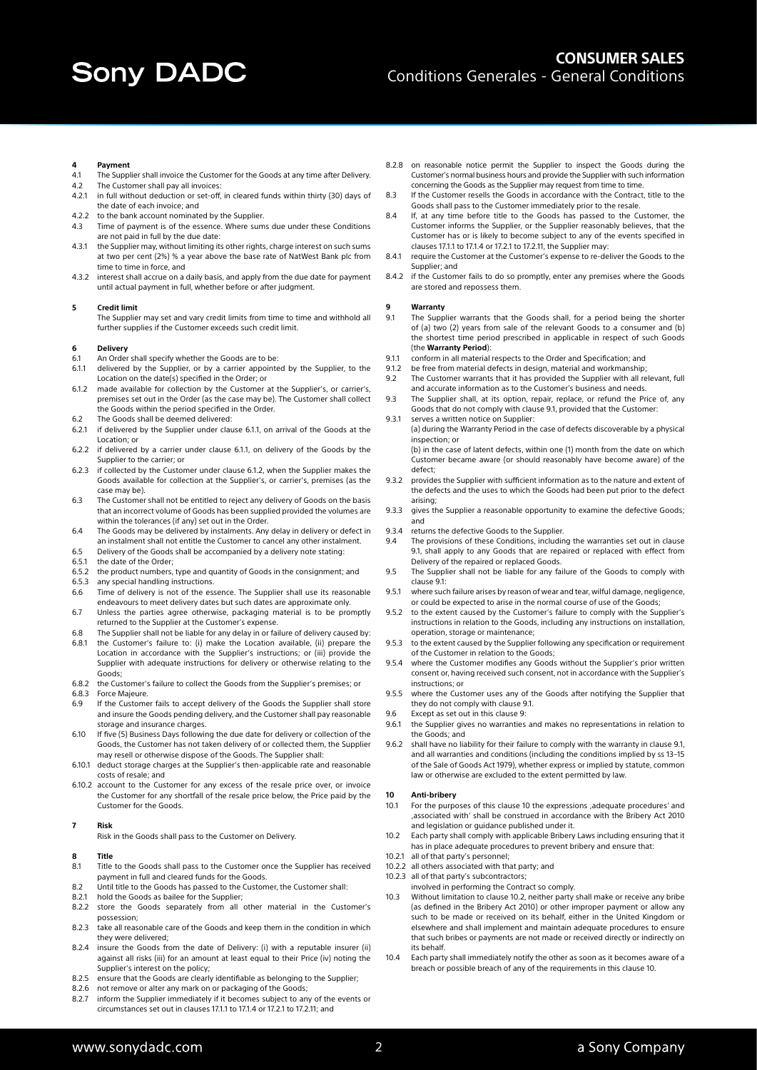# **4 Payment**

- The Supplier shall invoice the Customer for the Goods at any time after Delivery.
- 4.2 The Customer shall pay all invoices:
- 4.2.1 in full without deduction or set-off, in cleared funds within thirty (30) days of the date of each invoice; and
- 4.2.2 to the bank account nominated by the Supplier.
- 4.3 Time of payment is of the essence. Where sums due under these Conditions are not paid in full by the due date:
- 4.3.1 the Supplier may, without limiting its other rights, charge interest on such sums at two per cent (2%) % a year above the base rate of NatWest Bank plc from time to time in force, and
- 4.3.2 interest shall accrue on a daily basis, and apply from the due date for payment until actual payment in full, whether before or after judgment.

#### **5 Credit limit**

The Supplier may set and vary credit limits from time to time and withhold all further supplies if the Customer exceeds such credit limit.

## **6 Delivery**

- 6.1 An Order shall specify whether the Goods are to be:
- 6.1.1 delivered by the Supplier, or by a carrier appointed by the Supplier, to the Location on the date(s) specified in the Order; or
- 6.1.2 made available for collection by the Customer at the Supplier's, or carrier's, premises set out in the Order (as the case may be). The Customer shall collect the Goods within the period specified in the Order.
- 6.2 The Goods shall be deemed delivered:
- 6.2.1 if delivered by the Supplier under clause 6.1.1, on arrival of the Goods at the Location; or
- 6.2.2 if delivered by a carrier under clause 6.1.1, on delivery of the Goods by the Supplier to the carrier; or
- 6.2.3 if collected by the Customer under clause 6.1.2, when the Supplier makes the Goods available for collection at the Supplier's, or carrier's, premises (as the case may be).
- 6.3 The Customer shall not be entitled to reject any delivery of Goods on the basis that an incorrect volume of Goods has been supplied provided the volumes are within the tolerances (if any) set out in the Order.
- 6.4 The Goods may be delivered by instalments. Any delay in delivery or defect in an instalment shall not entitle the Customer to cancel any other instalment.
- 6.5 Delivery of the Goods shall be accompanied by a delivery note stating:
- 6.5.1 the date of the Order;
- 6.5.2 the product numbers, type and quantity of Goods in the consignment; and
- 6.5.3 any special handling instructions<br>6.6 Time of delivery is not of the es Time of delivery is not of the essence. The Supplier shall use its reasonable endeavours to meet delivery dates but such dates are approximate only.
- 6.7 Unless the parties agree otherwise, packaging material is to be promptly returned to the Supplier at the Customer's expense.
- 6.8 The Supplier shall not be liable for any delay in or failure of delivery caused by:
- 6.8.1 the Customer's failure to: (i) make the Location available, (ii) prepare the Location in accordance with the Supplier's instructions; or (iii) provide the Supplier with adequate instructions for delivery or otherwise relating to the Goods;
- 6.8.2 the Customer's failure to collect the Goods from the Supplier's premises; or
- 6.8.3 Force Majeure.
- 6.9 If the Customer fails to accept delivery of the Goods the Supplier shall store and insure the Goods pending delivery, and the Customer shall pay reasonable storage and insurance charges.
- 6.10 If five (5) Business Days following the due date for delivery or collection of the Goods, the Customer has not taken delivery of or collected them, the Supplier may resell or otherwise dispose of the Goods. The Supplier shall:
- 6.10.1 deduct storage charges at the Supplier's then-applicable rate and reasonable costs of resale; and
- 6.10.2 account to the Customer for any excess of the resale price over, or invoice the Customer for any shortfall of the resale price below, the Price paid by the Customer for the Goods.

#### **7 Risk**

Risk in the Goods shall pass to the Customer on Delivery.

# **8 Title**

- Title to the Goods shall pass to the Customer once the Supplier has received payment in full and cleared funds for the Goods.
- 8.2 Until title to the Goods has passed to the Customer, the Customer shall:
- 8.2.1 hold the Goods as bailee for the Supplier;
- 8.2.2 store the Goods separately from all other material in the Customer's possession;
- 8.2.3 take all reasonable care of the Goods and keep them in the condition in which they were delivered;
- 8.2.4 insure the Goods from the date of Delivery: (i) with a reputable insurer (ii) against all risks (iii) for an amount at least equal to their Price (iv) noting the Supplier's interest on the policy;
- 8.2.5 ensure that the Goods are clearly identifiable as belonging to the Supplier;<br>8.2.6 not remove or alter any mark on or packaging of the Goods:
- not remove or alter any mark on or packaging of the Goods;
- 8.2.7 inform the Supplier immediately if it becomes subject to any of the events or circumstances set out in clauses 17.1.1 to 17.1.4 or 17.2.1 to 17.2.11; and
- 8.2.8 on reasonable notice permit the Supplier to inspect the Goods during the Customer's normal business hours and provide the Supplier with such information concerning the Goods as the Supplier may request from time to time.
- 8.3 If the Customer resells the Goods in accordance with the Contract, title to the Goods shall pass to the Customer immediately prior to the resale.
- 8.4 If, at any time before title to the Goods has passed to the Customer, the Customer informs the Supplier, or the Supplier reasonably believes, that the Customer has or is likely to become subject to any of the events specified in clauses 17.1.1 to 17.1.4 or 17.2.1 to 17.2.11, the Supplier may:
- 8.4.1 require the Customer at the Customer's expense to re-deliver the Goods to the Supplier; and
- 8.4.2 if the Customer fails to do so promptly, enter any premises where the Goods are stored and repossess them.

# **9 Warranty**

- The Supplier warrants that the Goods shall, for a period being the shorter of (a) two (2) years from sale of the relevant Goods to a consumer and (b) the shortest time period prescribed in applicable in respect of such Goods (the **Warranty Period**):
- 9.1.1 conform in all material respects to the Order and Specification; and
- 9.1.2 be free from material defects in design, material and workmanship;<br>9.2 The Customer warrants that it has provided the Supplier with all re
- The Customer warrants that it has provided the Supplier with all relevant, full and accurate information as to the Customer's business and needs.
- 9.3 The Supplier shall, at its option, repair, replace, or refund the Price of, any Goods that do not comply with clause 9.1, provided that the Customer:
- 9.3.1 serves a written notice on Supplier: (a) during the Warranty Period in the case of defects discoverable by a physical inspection; or

(b) in the case of latent defects, within one (1) month from the date on which Customer became aware (or should reasonably have become aware) of the defect;

- 9.3.2 provides the Supplier with sufficient information as to the nature and extent of the defects and the uses to which the Goods had been put prior to the defect arising;
- 9.3.3 gives the Supplier a reasonable opportunity to examine the defective Goods; and
- 9.3.4 returns the defective Goods to the Supplier.
- 9.4 The provisions of these Conditions, including the warranties set out in clause 9.1, shall apply to any Goods that are repaired or replaced with effect from Delivery of the repaired or replaced Goods.
- 9.5 The Supplier shall not be liable for any failure of the Goods to comply with clause 9.1:
- 9.5.1 where such failure arises by reason of wear and tear, wilful damage, negligence, or could be expected to arise in the normal course of use of the Goods;
- 9.5.2 to the extent caused by the Customer's failure to comply with the Supplier's instructions in relation to the Goods, including any instructions on installation, operation, storage or maintenance;
- 9.5.3 to the extent caused by the Supplier following any specification or requirement of the Customer in relation to the Goods;
- 9.5.4 where the Customer modifies any Goods without the Supplier's prior written consent or, having received such consent, not in accordance with the Supplier's instructions; or
- 9.5.5 where the Customer uses any of the Goods after notifying the Supplier that they do not comply with clause 9.1.
- 9.6 Except as set out in this clause 9:
- 9.6.1 the Supplier gives no warranties and makes no representations in relation to the Goods; and
- 9.6.2 shall have no liability for their failure to comply with the warranty in clause 9.1, and all warranties and conditions (including the conditions implied by ss 13–15 of the Sale of Goods Act 1979), whether express or implied by statute, common law or otherwise are excluded to the extent permitted by law.

# **10 Anti-bribery**

- For the purposes of this clause 10 the expressions ,adequate procedures' and 'associated with' shall be construed in accordance with the Bribery Act 2010 and legislation or guidance published under it.
- 10.2 Each party shall comply with applicable Bribery Laws including ensuring that it has in place adequate procedures to prevent bribery and ensure that:
- 10.2.1 all of that party's personnel;
- 10.2.2 all others associated with that party; and
- 10.2.3 all of that party's subcontractors;
- involved in performing the Contract so comply. 10.3 Without limitation to clause 10.2, neither party shall make or receive any bribe (as defined in the Bribery Act 2010) or other improper payment or allow any such to be made or received on its behalf, either in the United Kingdom or elsewhere and shall implement and maintain adequate procedures to ensure that such bribes or payments are not made or received directly or indirectly on its behalf.
- 10.4 Each party shall immediately notify the other as soon as it becomes aware of a breach or possible breach of any of the requirements in this clause 10.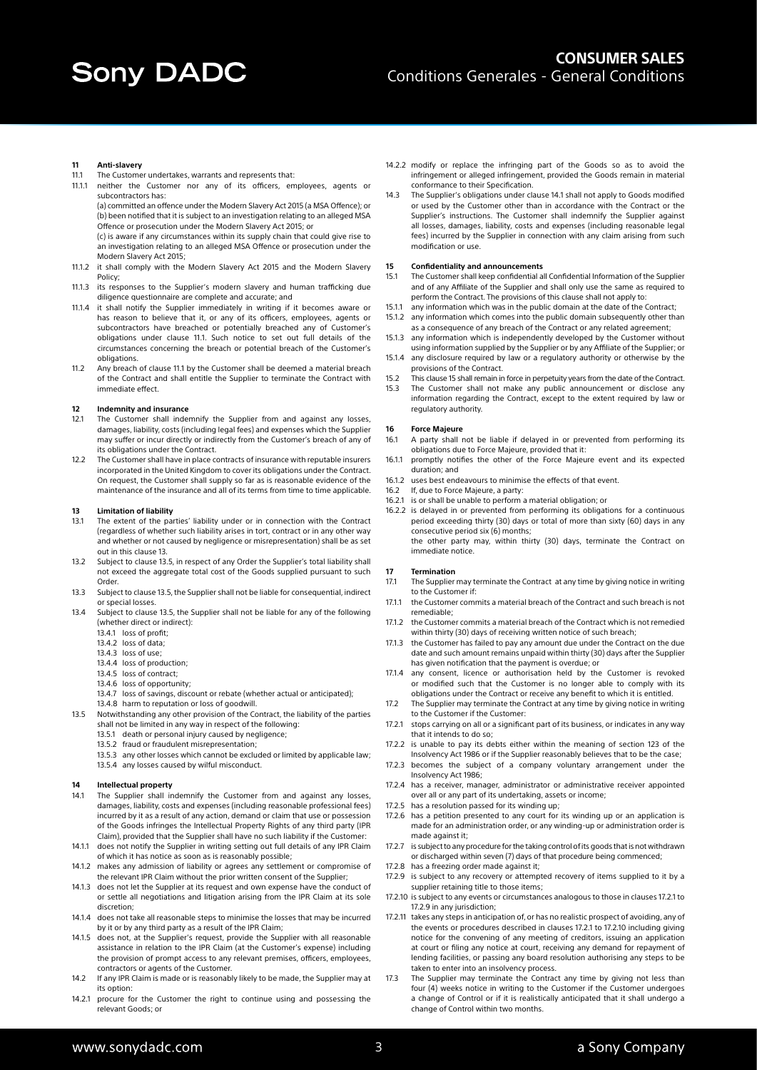#### **11 Anti-slavery**

- 11.1 The Customer undertakes, warrants and represents that:
- 11.1.1 neither the Customer nor any of its officers, employees, agents or subcontractors has:

(a) committed an offence under the Modern Slavery Act 2015 (a MSA Offence); or (b) been notified that it is subject to an investigation relating to an alleged MSA Offence or prosecution under the Modern Slavery Act 2015; or

- (c) is aware if any circumstances within its supply chain that could give rise to an investigation relating to an alleged MSA Offence or prosecution under the Modern Slavery Act 2015;
- 11.1.2 it shall comply with the Modern Slavery Act 2015 and the Modern Slavery Policy;
- 11.1.3 its responses to the Supplier's modern slavery and human trafficking due diligence questionnaire are complete and accurate; and
- 11.1.4 it shall notify the Supplier immediately in writing if it becomes aware or has reason to believe that it, or any of its officers, employees, agents or subcontractors have breached or potentially breached any of Customer's obligations under clause 11.1. Such notice to set out full details of the circumstances concerning the breach or potential breach of the Customer's obligations.
- 11.2 Any breach of clause 11.1 by the Customer shall be deemed a material breach of the Contract and shall entitle the Supplier to terminate the Contract with immediate effect.

### **12 Indemnity and insurance**

- 12.1 The Customer shall indemnify the Supplier from and against any losses, damages, liability, costs (including legal fees) and expenses which the Supplier may suffer or incur directly or indirectly from the Customer's breach of any of its obligations under the Contract.
- 12.2 The Customer shall have in place contracts of insurance with reputable insurers incorporated in the United Kingdom to cover its obligations under the Contract. On request, the Customer shall supply so far as is reasonable evidence of the maintenance of the insurance and all of its terms from time to time applicable.

### **13 Limitation of liability**

- 13.1 The extent of the parties' liability under or in connection with the Contract (regardless of whether such liability arises in tort, contract or in any other way and whether or not caused by negligence or misrepresentation) shall be as set out in this clause 13.
- 13.2 Subject to clause 13.5, in respect of any Order the Supplier's total liability shall not exceed the aggregate total cost of the Goods supplied pursuant to such Order.
- 13.3 Subject to clause 13.5, the Supplier shall not be liable for consequential, indirect or special losses.
- 13.4 Subject to clause 13.5, the Supplier shall not be liable for any of the following (whether direct or indirect):
	- 13.4.1 loss of profit;
	- 13.4.2 loss of data; 13.4.3 loss of use;
	- 13.4.4 loss of production;
	- 13.4.5 loss of contract;
	- 13.4.6 loss of opportunity;
	- 13.4.7 loss of savings, discount or rebate (whether actual or anticipated);
- 13.4.8 harm to reputation or loss of goodwill. 13.5 Notwithstanding any other provision of the Contract, the liability of the parties
- shall not be limited in any way in respect of the following:
	- 13.5.1 death or personal injury caused by negligence; 13.5.2 fraud or fraudulent misrepresentation;
	- 13.5.3 any other losses which cannot be excluded or limited by applicable law;
	- 13.5.4 any losses caused by wilful misconduct.

## **14 Intellectual property**

- 14.1 The Supplier shall indemnify the Customer from and against any losses, damages, liability, costs and expenses (including reasonable professional fees) incurred by it as a result of any action, demand or claim that use or possession of the Goods infringes the Intellectual Property Rights of any third party (IPR Claim), provided that the Supplier shall have no such liability if the Customer:
- 14.1.1 does not notify the Supplier in writing setting out full details of any IPR Claim of which it has notice as soon as is reasonably possible;
- 14.1.2 makes any admission of liability or agrees any settlement or compromise of the relevant IPR Claim without the prior written consent of the Supplier;
- 14.1.3 does not let the Supplier at its request and own expense have the conduct of or settle all negotiations and litigation arising from the IPR Claim at its sole discretion;
- 14.1.4 does not take all reasonable steps to minimise the losses that may be incurred by it or by any third party as a result of the IPR Claim;
- 14.1.5 does not, at the Supplier's request, provide the Supplier with all reasonable assistance in relation to the IPR Claim (at the Customer's expense) including the provision of prompt access to any relevant premises, officers, employees, contractors or agents of the Customer.
- 14.2 If any IPR Claim is made or is reasonably likely to be made, the Supplier may at its option:
- 14.2.1 procure for the Customer the right to continue using and possessing the relevant Goods; or
- 14.2.2 modify or replace the infringing part of the Goods so as to avoid the infringement or alleged infringement, provided the Goods remain in material conformance to their Specification.
- 14.3 The Supplier's obligations under clause 14.1 shall not apply to Goods modified or used by the Customer other than in accordance with the Contract or the Supplier's instructions. The Customer shall indemnify the Supplier against all losses, damages, liability, costs and expenses (including reasonable legal fees) incurred by the Supplier in connection with any claim arising from such modification or use.

#### **15 Confidentiality and announcements**

- 15.1 The Customer shall keep confidential all Confidential Information of the Supplier and of any Affiliate of the Supplier and shall only use the same as required to perform the Contract. The provisions of this clause shall not apply to:
- 15.1.1 any information which was in the public domain at the date of the Contract;
- any information which comes into the public domain subsequently other than as a consequence of any breach of the Contract or any related agreement;
- 15.1.3 any information which is independently developed by the Customer without using information supplied by the Supplier or by any Affiliate of the Supplier; or
- 15.1.4 any disclosure required by law or a regulatory authority or otherwise by the provisions of the Contract.
- 15.2 This clause 15 shall remain in force in perpetuity years from the date of the Contract. 15.3 The Customer shall not make any public announcement or disclose any
- information regarding the Contract, except to the extent required by law or regulatory authority.

#### **16 Force Majeure**

- 16.1 A party shall not be liable if delayed in or prevented from performing its obligations due to Force Majeure, provided that it:
- 16.1.1 promptly notifies the other of the Force Majeure event and its expected duration; and
- 16.1.2 uses best endeavours to minimise the effects of that event.
- 16.2 If, due to Force Majeure, a party:
- 16.2.1 is or shall be unable to perform a material obligation; or
- 16.2.2 is delayed in or prevented from performing its obligations for a continuous period exceeding thirty (30) days or total of more than sixty (60) days in any consecutive period six (6) months; the other party may, within thirty (30) days, terminate the Contract on immediate notice.

## **17 Termination**

- 17.1 The Supplier may terminate the Contract at any time by giving notice in writing to the Customer if
- 17.1.1 the Customer commits a material breach of the Contract and such breach is not remediable;
- 17.1.2 the Customer commits a material breach of the Contract which is not remedied within thirty (30) days of receiving written notice of such breach;
- 17.1.3 the Customer has failed to pay any amount due under the Contract on the due date and such amount remains unpaid within thirty (30) days after the Supplier has given notification that the payment is overdue; or
- 17.1.4 any consent, licence or authorisation held by the Customer is revoked or modified such that the Customer is no longer able to comply with its obligations under the Contract or receive any benefit to which it is entitled.
- 17.2 The Supplier may terminate the Contract at any time by giving notice in writing to the Customer if the Customer:
- 17.2.1 stops carrying on all or a significant part of its business, or indicates in any way that it intends to do so;
- 17.2.2 is unable to pay its debts either within the meaning of section 123 of the Insolvency Act 1986 or if the Supplier reasonably believes that to be the case;
- 17.2.3 becomes the subject of a company voluntary arrangement under the Insolvency Act 1986;
- 17.2.4 has a receiver, manager, administrator or administrative receiver appointed over all or any part of its undertaking, assets or income;
- 17.2.5 has a resolution passed for its winding up;
- 17.2.6 has a petition presented to any court for its winding up or an application is made for an administration order, or any winding-up or administration order is made against it;
- 17.2.7 is subject to any procedure for the taking control of its goods that is not withdrawn or discharged within seven (7) days of that procedure being commenced; 17.2.8 has a freezing order made against it;
- 17.2.9 is subject to any recovery or attempted recovery of items supplied to it by a supplier retaining title to those items;
- 17.2.10 is subject to any events or circumstances analogous to those in clauses 17.2.1 to 17.2.9 in any jurisdiction;
- 17.2.11 takes any steps in anticipation of, or has no realistic prospect of avoiding, any of the events or procedures described in clauses 17.2.1 to 17.2.10 including giving notice for the convening of any meeting of creditors, issuing an application at court or filing any notice at court, receiving any demand for repayment of lending facilities, or passing any board resolution authorising any steps to be taken to enter into an insolvency process.
- 17.3 The Supplier may terminate the Contract any time by giving not less than four (4) weeks notice in writing to the Customer if the Customer undergoes a change of Control or if it is realistically anticipated that it shall undergo a change of Control within two months.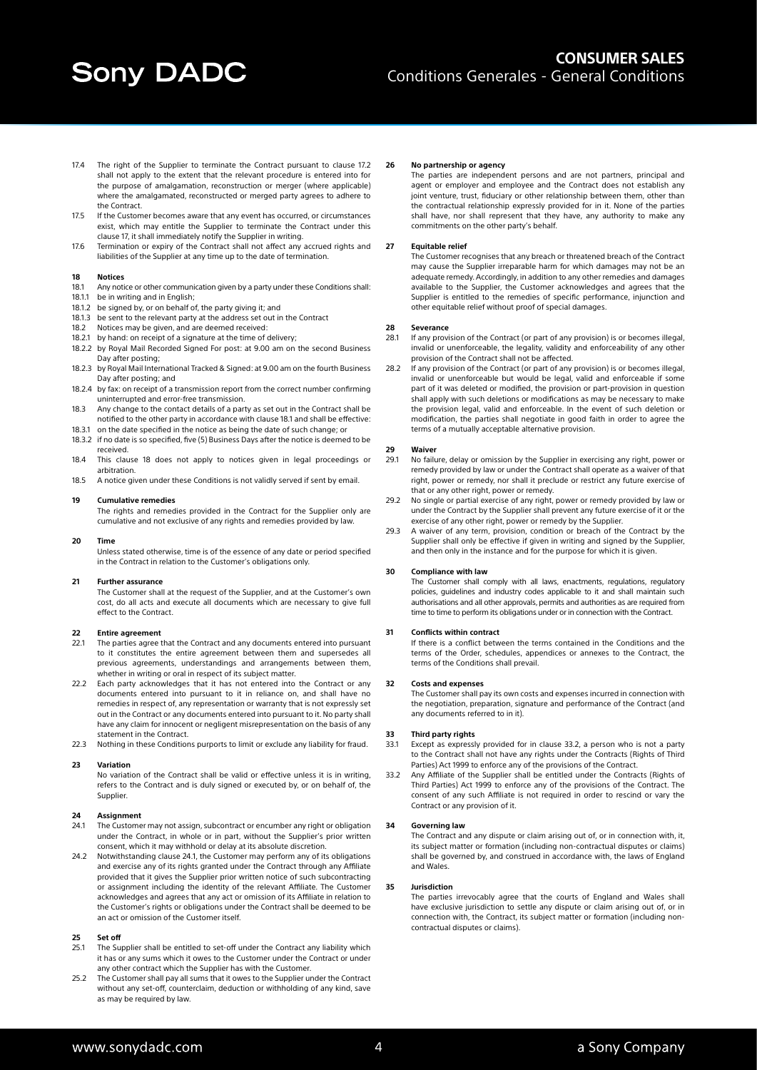- 17.4 The right of the Supplier to terminate the Contract pursuant to clause 17.2 shall not apply to the extent that the relevant procedure is entered into for the purpose of amalgamation, reconstruction or merger (where applicable) where the amalgamated, reconstructed or merged party agrees to adhere to the Contract.
- 17.5 If the Customer becomes aware that any event has occurred, or circumstances exist, which may entitle the Supplier to terminate the Contract under this clause 17, it shall immediately notify the Supplier in writing.
- 17.6 Termination or expiry of the Contract shall not affect any accrued rights and liabilities of the Supplier at any time up to the date of termination.

### **18 Notices**

- 18.1 Any notice or other communication given by a party under these Conditions shall: 18.1.1 be in writing and in English;
- 18.1.2 be signed by, or on behalf of, the party giving it; and
- 18.1.3 be sent to the relevant party at the address set out in the Contract
- 18.2 Notices may be given, and are deemed received:
- 18.2.1 by hand: on receipt of a signature at the time of delivery;
- 18.2.2 by Royal Mail Recorded Signed For post: at 9.00 am on the second Business Day after posting;
- 18.2.3 by Royal Mail International Tracked & Signed: at 9.00 am on the fourth Business Day after posting; and
- 18.2.4 by fax: on receipt of a transmission report from the correct number confirming uninterrupted and error-free transmission.
- 18.3 Any change to the contact details of a party as set out in the Contract shall be notified to the other party in accordance with clause 18.1 and shall be effective:
- 18.3.1 on the date specified in the notice as being the date of such change; or 18.3.2 if no date is so specified, five (5) Business Days after the notice is deemed to be
- received. 18.4 This clause 18 does not apply to notices given in legal proceedings or arbitration.
- 18.5 A notice given under these Conditions is not validly served if sent by email.

#### **19 Cumulative remedies**

The rights and remedies provided in the Contract for the Supplier only are cumulative and not exclusive of any rights and remedies provided by law.

#### **20 Time**

Unless stated otherwise, time is of the essence of any date or period specified in the Contract in relation to the Customer's obligations only.

#### **21 Further assurance**

The Customer shall at the request of the Supplier, and at the Customer's own cost, do all acts and execute all documents which are necessary to give full effect to the Contract.

#### **22 Entire agreement**

- 22.1 The parties agree that the Contract and any documents entered into pursuant to it constitutes the entire agreement between them and supersedes all previous agreements, understandings and arrangements between them, whether in writing or oral in respect of its subject matter.
- 22.2 Each party acknowledges that it has not entered into the Contract or any documents entered into pursuant to it in reliance on, and shall have no remedies in respect of, any representation or warranty that is not expressly set out in the Contract or any documents entered into pursuant to it. No party shall have any claim for innocent or negligent misrepresentation on the basis of any statement in the Contract.
- 22.3 Nothing in these Conditions purports to limit or exclude any liability for fraud.

#### **23 Variation**

No variation of the Contract shall be valid or effective unless it is in writing, refers to the Contract and is duly signed or executed by, or on behalf of, the Supplier.

#### **24 Assignment**

- 24.1 The Customer may not assign, subcontract or encumber any right or obligation under the Contract, in whole or in part, without the Supplier's prior written consent, which it may withhold or delay at its absolute discretion.
- 24.2 Notwithstanding clause 24.1, the Customer may perform any of its obligations and exercise any of its rights granted under the Contract through any Affiliate provided that it gives the Supplier prior written notice of such subcontracting or assignment including the identity of the relevant Affiliate. The Customer acknowledges and agrees that any act or omission of its Affiliate in relation to the Customer's rights or obligations under the Contract shall be deemed to be an act or omission of the Customer itself.

### **25 Set off**

- 25.1 The Supplier shall be entitled to set-off under the Contract any liability which it has or any sums which it owes to the Customer under the Contract or under any other contract which the Supplier has with the Customer.
- 25.2 The Customer shall pay all sums that it owes to the Supplier under the Contract without any set-off, counterclaim, deduction or withholding of any kind, save as may be required by law.

#### **26 No partnership or agency**

The parties are independent persons and are not partners, principal and agent or employer and employee and the Contract does not establish any joint venture, trust, fiduciary or other relationship between them, other than the contractual relationship expressly provided for in it. None of the parties shall have, nor shall represent that they have, any authority to make any commitments on the other party's behalf.

#### **27 Equitable relief**

The Customer recognises that any breach or threatened breach of the Contract may cause the Supplier irreparable harm for which damages may not be an adequate remedy. Accordingly, in addition to any other remedies and damages available to the Supplier, the Customer acknowledges and agrees that the Supplier is entitled to the remedies of specific performance, injunction and other equitable relief without proof of special damages.

## **28 Severance**

- 28.1 If any provision of the Contract (or part of any provision) is or becomes illegal, invalid or unenforceable, the legality, validity and enforceability of any other provision of the Contract shall not be affected.
- 28.2 If any provision of the Contract (or part of any provision) is or becomes illegal, invalid or unenforceable but would be legal, valid and enforceable if some part of it was deleted or modified, the provision or part-provision in question shall apply with such deletions or modifications as may be necessary to make the provision legal, valid and enforceable. In the event of such deletion or modification, the parties shall negotiate in good faith in order to agree the terms of a mutually acceptable alternative provision.

## **29 Waiver**

- 29.1 No failure, delay or omission by the Supplier in exercising any right, power or remedy provided by law or under the Contract shall operate as a waiver of that right, power or remedy, nor shall it preclude or restrict any future exercise of that or any other right, power or remedy.
- 29.2 No single or partial exercise of any right, power or remedy provided by law or under the Contract by the Supplier shall prevent any future exercise of it or the exercise of any other right, power or remedy by the Supplier.
- 29.3 A waiver of any term, provision, condition or breach of the Contract by the Supplier shall only be effective if given in writing and signed by the Supplier, and then only in the instance and for the purpose for which it is given.

#### **30 Compliance with law**

The Customer shall comply with all laws, enactments, regulations, regulatory policies, guidelines and industry codes applicable to it and shall maintain such authorisations and all other approvals, permits and authorities as are required from time to time to perform its obligations under or in connection with the Contract.

#### **31 Conflicts within contract**

If there is a conflict between the terms contained in the Conditions and the terms of the Order, schedules, appendices or annexes to the Contract, the terms of the Conditions shall prevail.

# **32 Costs and expenses**

The Customer shall pay its own costs and expenses incurred in connection with the negotiation, preparation, signature and performance of the Contract (and any documents referred to in it).

# **33 Third party rights**

- Except as expressly provided for in clause 33.2, a person who is not a party to the Contract shall not have any rights under the Contracts (Rights of Third
- Parties) Act 1999 to enforce any of the provisions of the Contract. 33.2 Any Affiliate of the Supplier shall be entitled under the Contracts (Rights of Third Parties) Act 1999 to enforce any of the provisions of the Contract. The consent of any such Affiliate is not required in order to rescind or vary the Contract or any provision of it.

#### **34 Governing law**

The Contract and any dispute or claim arising out of, or in connection with, it, its subject matter or formation (including non-contractual disputes or claims) shall be governed by, and construed in accordance with, the laws of England and Wales.

#### **35 Jurisdiction**

The parties irrevocably agree that the courts of England and Wales shall have exclusive jurisdiction to settle any dispute or claim arising out of, or in connection with, the Contract, its subject matter or formation (including noncontractual disputes or claims).